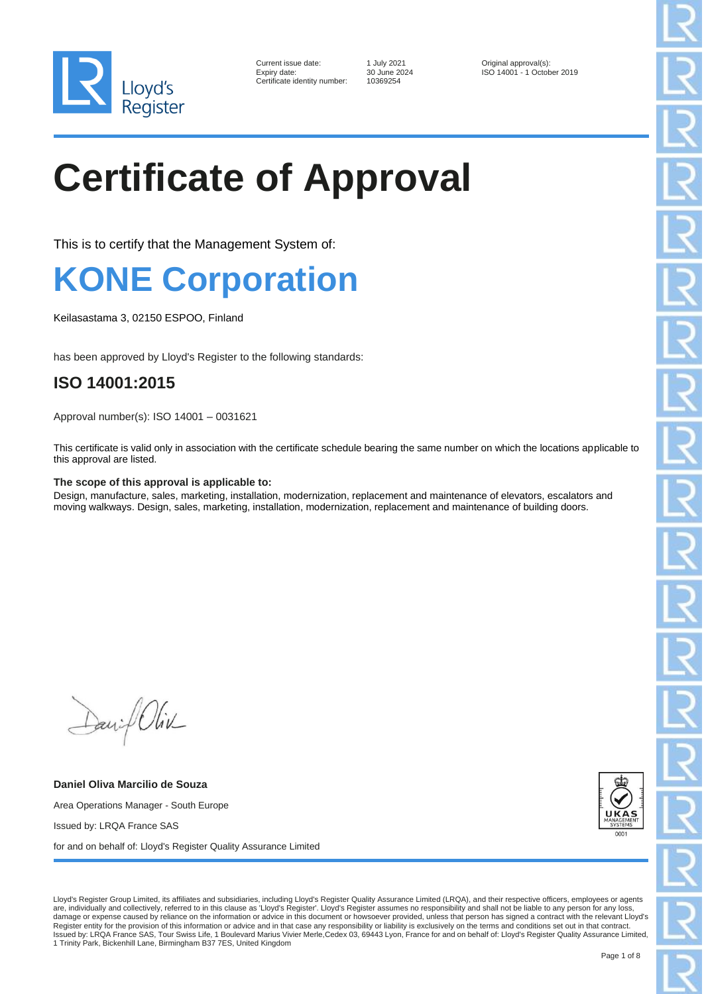

| Current issue date:        |
|----------------------------|
| Expiry date:               |
| Certificate identity numbe |

er: 10369254

1 July 2021 **Current issue data Current issues** Original approval(s):<br>30 June 2024 **ISO 14001 - 1 Octob** ISO 14001 - 1 October 2019

# **Certificate of Approval**

This is to certify that the Management System of:

### **KONE Corporation**

Keilasastama 3, 02150 ESPOO, Finland

has been approved by Lloyd's Register to the following standards:

### **ISO 14001:2015**

Approval number(s): ISO 14001 – 0031621

This certificate is valid only in association with the certificate schedule bearing the same number on which the locations applicable to this approval are listed.

#### **The scope of this approval is applicable to:**

Design, manufacture, sales, marketing, installation, modernization, replacement and maintenance of elevators, escalators and moving walkways. Design, sales, marketing, installation, modernization, replacement and maintenance of building doors.

Daniel Oliv

**Daniel Oliva Marcilio de Souza** Area Operations Manager - South Europe Issued by: LRQA France SAS for and on behalf of: Lloyd's Register Quality Assurance Limited



Lloyd's Register Group Limited, its affiliates and subsidiaries, including Lloyd's Register Quality Assurance Limited (LRQA), and their respective officers, employees or agents are, individually and collectively, referred to in this clause as 'Lloyd's Register'. Lloyd's Register assumes no responsibility and shall not be liable to any person for any loss, damage or expense caused by reliance on the information or advice in this document or howsoever provided, unless that person has signed a contract with the relevant Lloyd's Register entity for the provision of this information or advice and in that case any responsibility or liability is exclusively on the terms and conditions set out in that contract.<br>Issued by: LRQA France SAS, Tour Swiss L 1 Trinity Park, Bickenhill Lane, Birmingham B37 7ES, United Kingdom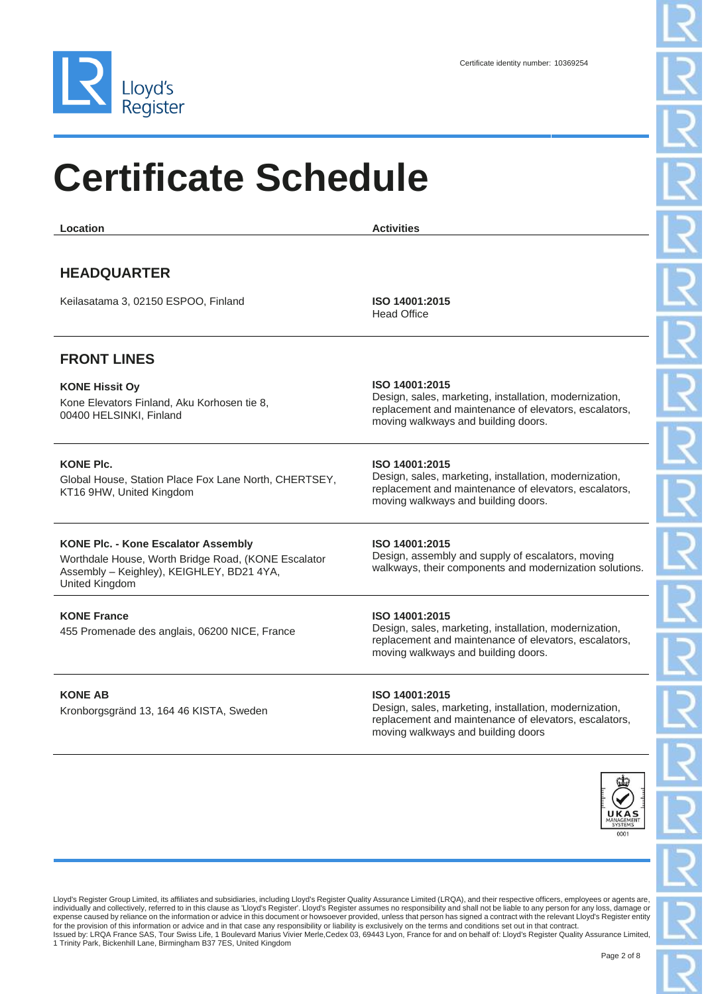

| Location                                                                                                                                                         | <b>Activities</b>                                                                                                                                                        |
|------------------------------------------------------------------------------------------------------------------------------------------------------------------|--------------------------------------------------------------------------------------------------------------------------------------------------------------------------|
| <b>HEADQUARTER</b><br>Keilasatama 3, 02150 ESPOO, Finland                                                                                                        | ISO 14001:2015                                                                                                                                                           |
|                                                                                                                                                                  | <b>Head Office</b>                                                                                                                                                       |
|                                                                                                                                                                  |                                                                                                                                                                          |
| <b>FRONT LINES</b>                                                                                                                                               |                                                                                                                                                                          |
| <b>KONE Hissit Oy</b><br>Kone Elevators Finland, Aku Korhosen tie 8,<br>00400 HELSINKI, Finland                                                                  | ISO 14001:2015<br>Design, sales, marketing, installation, modernization,<br>replacement and maintenance of elevators, escalators,<br>moving walkways and building doors. |
| <b>KONE PIC.</b><br>Global House, Station Place Fox Lane North, CHERTSEY,<br>KT16 9HW, United Kingdom                                                            | ISO 14001:2015<br>Design, sales, marketing, installation, modernization,<br>replacement and maintenance of elevators, escalators,<br>moving walkways and building doors. |
| <b>KONE Plc. - Kone Escalator Assembly</b><br>Worthdale House, Worth Bridge Road, (KONE Escalator<br>Assembly - Keighley), KEIGHLEY, BD21 4YA,<br>United Kingdom | ISO 14001:2015<br>Design, assembly and supply of escalators, moving<br>walkways, their components and modernization solutions.                                           |
| <b>KONE France</b><br>455 Promenade des anglais, 06200 NICE, France                                                                                              | ISO 14001:2015<br>Design, sales, marketing, installation, modernization,<br>replacement and maintenance of elevators, escalators,<br>moving walkways and building doors. |

#### **KONE AB**

Kronborgsgränd 13, 164 46 KISTA, Sweden

#### **ISO 14001:2015**

Design, sales, marketing, installation, modernization, replacement and maintenance of elevators, escalators, moving walkways and building doors



Lloyd's Register Group Limited, its affiliates and subsidiaries, including Lloyd's Register Quality Assurance Limited (LRQA), and their respective officers, employees or agents are,<br>individually and collectively, referred expense caused by reliance on the information or advice in this document or howsoever provided, unless that person has signed a contract with the relevant Lloyd's Register entity for the provision of this information or advice and in that case any responsibility or liability is exclusively on the terms and conditions set out in that contract.<br>Issued by: LRQA France SAS, Tour Swiss Life, 1 Boulevard 1 Trinity Park, Bickenhill Lane, Birmingham B37 7ES, United Kingdom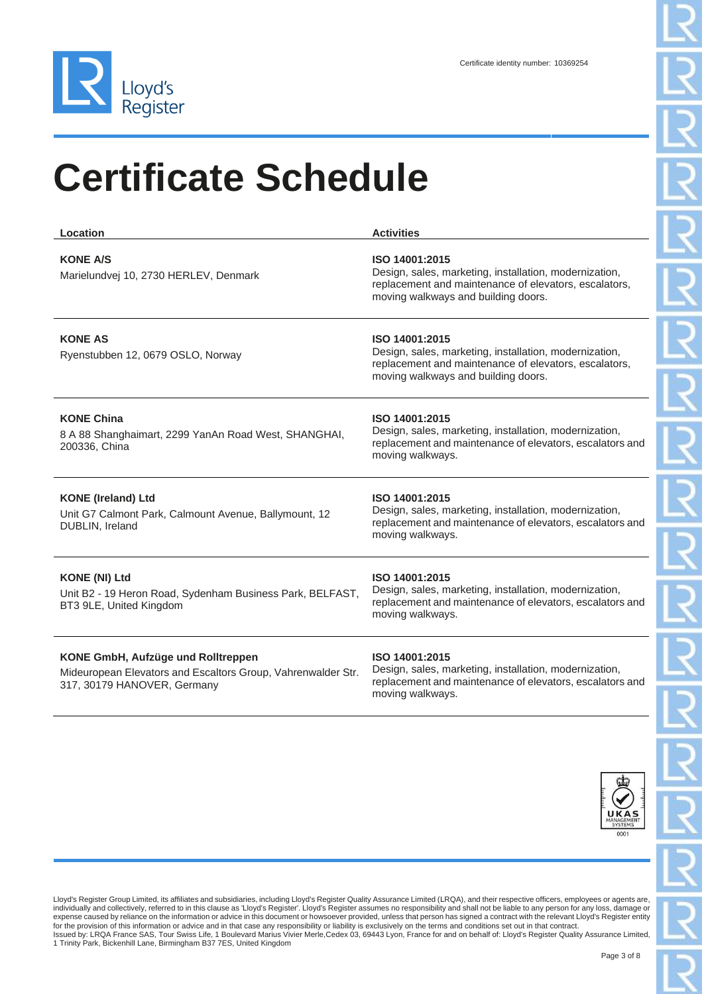

| Location                                                                                                                          | <b>Activities</b>                                                                                                                                                        |
|-----------------------------------------------------------------------------------------------------------------------------------|--------------------------------------------------------------------------------------------------------------------------------------------------------------------------|
| <b>KONE A/S</b><br>Marielundvej 10, 2730 HERLEV, Denmark                                                                          | ISO 14001:2015<br>Design, sales, marketing, installation, modernization,<br>replacement and maintenance of elevators, escalators,<br>moving walkways and building doors. |
| <b>KONE AS</b><br>Ryenstubben 12, 0679 OSLO, Norway                                                                               | ISO 14001:2015<br>Design, sales, marketing, installation, modernization,<br>replacement and maintenance of elevators, escalators,<br>moving walkways and building doors. |
| <b>KONE China</b><br>8 A 88 Shanghaimart, 2299 YanAn Road West, SHANGHAI,<br>200336, China                                        | ISO 14001:2015<br>Design, sales, marketing, installation, modernization,<br>replacement and maintenance of elevators, escalators and<br>moving walkways.                 |
| <b>KONE (Ireland) Ltd</b><br>Unit G7 Calmont Park, Calmount Avenue, Ballymount, 12<br>DUBLIN, Ireland                             | ISO 14001:2015<br>Design, sales, marketing, installation, modernization,<br>replacement and maintenance of elevators, escalators and<br>moving walkways.                 |
| <b>KONE (NI) Ltd</b><br>Unit B2 - 19 Heron Road, Sydenham Business Park, BELFAST,<br>BT3 9LE, United Kingdom                      | ISO 14001:2015<br>Design, sales, marketing, installation, modernization,<br>replacement and maintenance of elevators, escalators and<br>moving walkways.                 |
| KONE GmbH, Aufzüge und Rolltreppen<br>Mideuropean Elevators and Escaltors Group, Vahrenwalder Str.<br>317, 30179 HANOVER, Germany | ISO 14001:2015<br>Design, sales, marketing, installation, modernization,<br>replacement and maintenance of elevators, escalators and<br>moving walkways.                 |

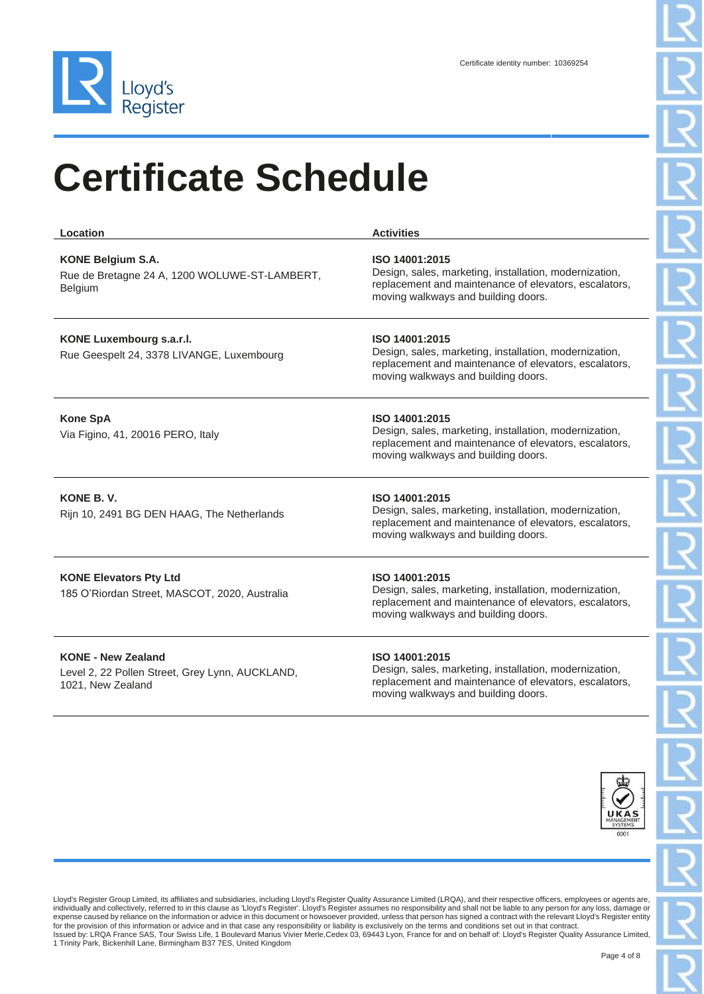

| Location                                                                             | <b>Activities</b>                                                                                                                                                        |
|--------------------------------------------------------------------------------------|--------------------------------------------------------------------------------------------------------------------------------------------------------------------------|
| <b>KONE Belgium S.A.</b><br>Rue de Bretagne 24 A, 1200 WOLUWE-ST-LAMBERT,<br>Belgium | ISO 14001:2015<br>Design, sales, marketing, installation, modernization,<br>replacement and maintenance of elevators, escalators,<br>moving walkways and building doors. |
| KONE Luxembourg s.a.r.l.<br>Rue Geespelt 24, 3378 LIVANGE, Luxembourg                | ISO 14001:2015<br>Design, sales, marketing, installation, modernization,<br>replacement and maintenance of elevators, escalators,<br>moving walkways and building doors. |
| <b>Kone SpA</b><br>Via Figino, 41, 20016 PERO, Italy                                 | ISO 14001:2015<br>Design, sales, marketing, installation, modernization,<br>replacement and maintenance of elevators, escalators,<br>moving walkways and building doors. |
| KONE B.V.<br>Rijn 10, 2491 BG DEN HAAG, The Netherlands                              | ISO 14001:2015<br>Design, sales, marketing, installation, modernization,<br>replacement and maintenance of elevators, escalators,<br>moving walkways and building doors. |
| <b>KONE Elevators Pty Ltd</b><br>185 O'Riordan Street, MASCOT, 2020, Australia       | ISO 14001:2015<br>Design, sales, marketing, installation, modernization,<br>replacement and maintenance of elevators, escalators,<br>moving walkways and building doors. |
| <b>KONE - New Zealand</b>                                                            | ISO 14001:2015                                                                                                                                                           |

Level 2, 22 Pollen Street, Grey Lynn, AUCKLAND, 1021, New Zealand

Design, sales, marketing, installation, modernization, replacement and maintenance of elevators, escalators, moving walkways and building doors.

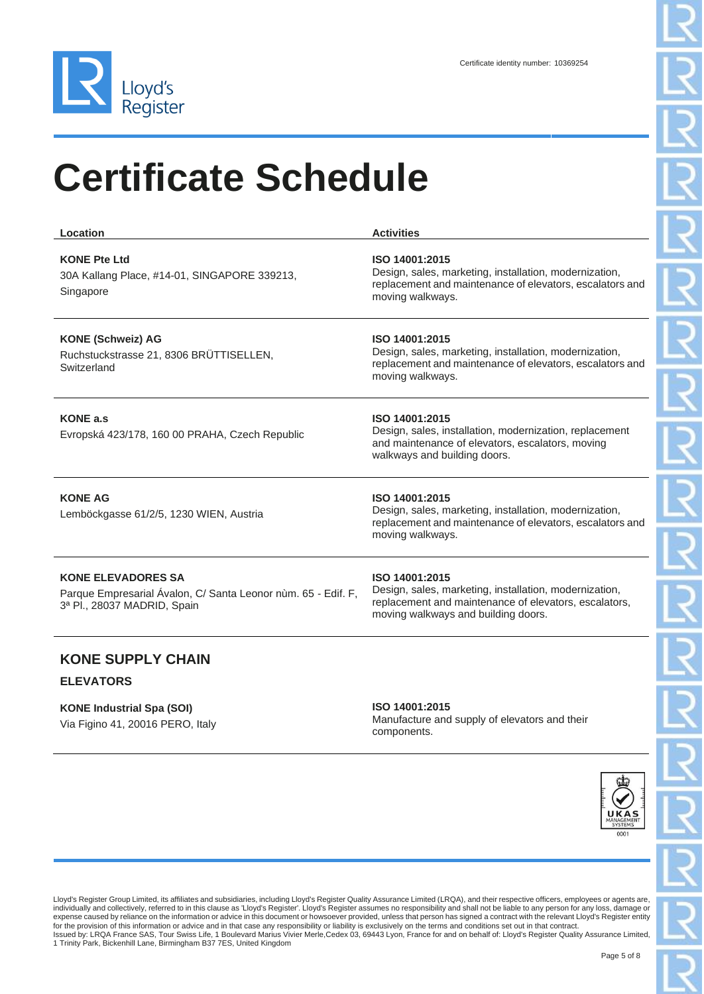

| Location                                                                                                                  | <b>Activities</b>                                                                                                                                                        |
|---------------------------------------------------------------------------------------------------------------------------|--------------------------------------------------------------------------------------------------------------------------------------------------------------------------|
| <b>KONE Pte Ltd</b><br>30A Kallang Place, #14-01, SINGAPORE 339213,<br>Singapore                                          | ISO 14001:2015<br>Design, sales, marketing, installation, modernization,<br>replacement and maintenance of elevators, escalators and<br>moving walkways.                 |
| <b>KONE (Schweiz) AG</b><br>Ruchstuckstrasse 21, 8306 BRÜTTISELLEN,<br>Switzerland                                        | ISO 14001:2015<br>Design, sales, marketing, installation, modernization,<br>replacement and maintenance of elevators, escalators and<br>moving walkways.                 |
| <b>KONE a.s</b><br>Evropská 423/178, 160 00 PRAHA, Czech Republic                                                         | ISO 14001:2015<br>Design, sales, installation, modernization, replacement<br>and maintenance of elevators, escalators, moving<br>walkways and building doors.            |
| <b>KONE AG</b><br>Lemböckgasse 61/2/5, 1230 WIEN, Austria                                                                 | ISO 14001:2015<br>Design, sales, marketing, installation, modernization,<br>replacement and maintenance of elevators, escalators and<br>moving walkways.                 |
| <b>KONE ELEVADORES SA</b><br>Parque Empresarial Ávalon, C/ Santa Leonor nùm. 65 - Edif. F,<br>3ª Pl., 28037 MADRID, Spain | ISO 14001:2015<br>Design, sales, marketing, installation, modernization,<br>replacement and maintenance of elevators, escalators,<br>moving walkways and building doors. |
| <b>KONE SUPPLY CHAIN</b>                                                                                                  |                                                                                                                                                                          |

#### **ELEVATORS**

**KONE Industrial Spa (SOI)** Via Figino 41, 20016 PERO, Italy

#### **ISO 14001:2015**

Manufacture and supply of elevators and their components.

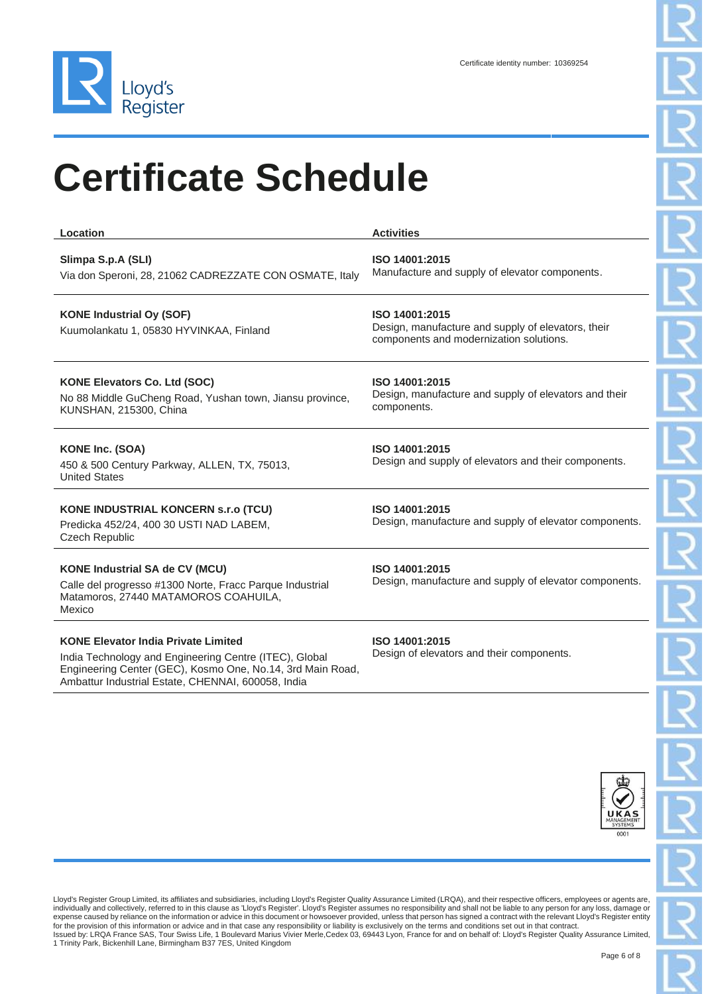

| Location                                                                                                                                            | <b>Activities</b>                                                                                               |  |
|-----------------------------------------------------------------------------------------------------------------------------------------------------|-----------------------------------------------------------------------------------------------------------------|--|
| Slimpa S.p.A (SLI)<br>Via don Speroni, 28, 21062 CADREZZATE CON OSMATE, Italy                                                                       | ISO 14001:2015<br>Manufacture and supply of elevator components.                                                |  |
| <b>KONE Industrial Oy (SOF)</b><br>Kuumolankatu 1, 05830 HYVINKAA, Finland                                                                          | ISO 14001:2015<br>Design, manufacture and supply of elevators, their<br>components and modernization solutions. |  |
| <b>KONE Elevators Co. Ltd (SOC)</b><br>No 88 Middle GuCheng Road, Yushan town, Jiansu province,<br>KUNSHAN, 215300, China                           | ISO 14001:2015<br>Design, manufacture and supply of elevators and their<br>components.                          |  |
| <b>KONE Inc. (SOA)</b><br>450 & 500 Century Parkway, ALLEN, TX, 75013,<br><b>United States</b>                                                      | ISO 14001:2015<br>Design and supply of elevators and their components.                                          |  |
| <b>KONE INDUSTRIAL KONCERN S.r.o (TCU)</b><br>Predicka 452/24, 400 30 USTI NAD LABEM,<br><b>Czech Republic</b>                                      | ISO 14001:2015<br>Design, manufacture and supply of elevator components.                                        |  |
| <b>KONE Industrial SA de CV (MCU)</b><br>Calle del progresso #1300 Norte, Fracc Parque Industrial<br>Matamoros, 27440 MATAMOROS COAHUILA,<br>Mexico | ISO 14001:2015<br>Design, manufacture and supply of elevator components.                                        |  |

### **KONE Elevator India Private Limited**

India Technology and Engineering Centre (ITEC), Global Engineering Center (GEC), Kosmo One, No.14, 3rd Main Road, Ambattur Industrial Estate, CHENNAI, 600058, India

**ISO 14001:2015** Design of elevators and their components.

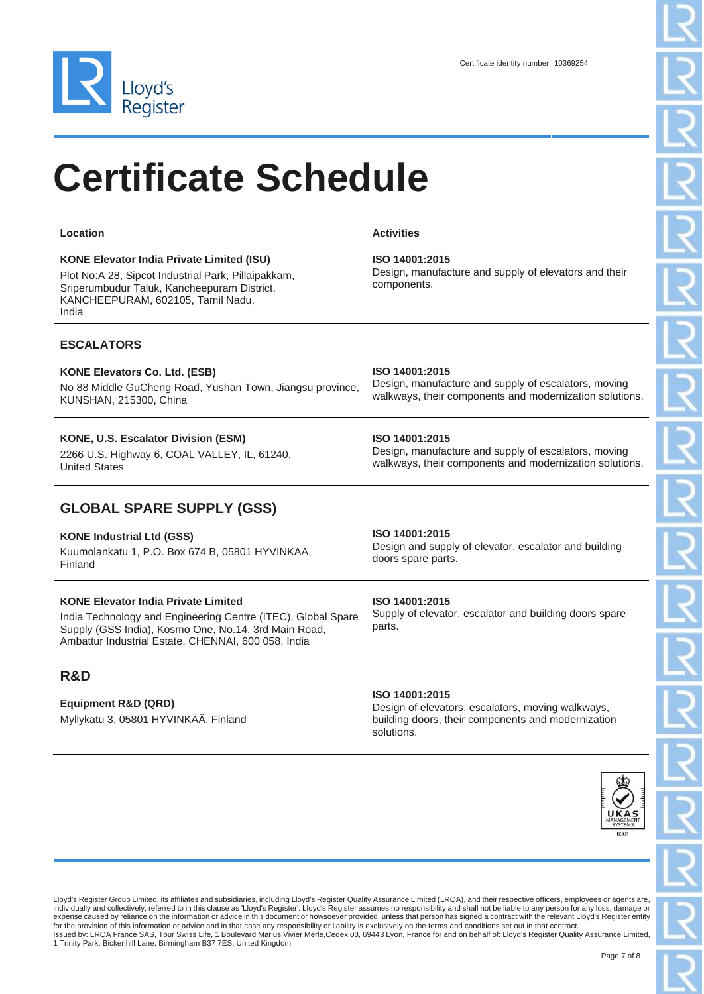

**Location Activities** 

| <b>KONE Elevator India Private Limited (ISU)</b> |  |  |  |
|--------------------------------------------------|--|--|--|

Plot No:A 28, Sipcot Industrial Park, Pillaipakkam, Sriperumbudur Taluk, Kancheepuram District, KANCHEEPURAM, 602105, Tamil Nadu, India

#### **ESCALATORS**

#### **KONE Elevators Co. Ltd. (ESB)**

No 88 Middle GuCheng Road, Yushan Town, Jiangsu province, KUNSHAN, 215300, China

#### **KONE, U.S. Escalator Division (ESM)**

2266 U.S. Highway 6, COAL VALLEY, IL, 61240, United States

#### **GLOBAL SPARE SUPPLY (GSS)**

#### **KONE Industrial Ltd (GSS)**

Kuumolankatu 1, P.O. Box 674 B, 05801 HYVINKAA, Finland

#### **KONE Elevator India Private Limited**

India Technology and Engineering Centre (ITEC), Global Spare Supply (GSS India), Kosmo One, No.14, 3rd Main Road, Ambattur Industrial Estate, CHENNAI, 600 058, India

### **R&D**

#### **Equipment R&D (QRD)**

Myllykatu 3, 05801 HYVINKÄÄ, Finland

#### **ISO 14001:2015**

Design, manufacture and supply of escalators, moving walkways, their components and modernization solutions.

#### **ISO 14001:2015**

Design, manufacture and supply of escalators, moving walkways, their components and modernization solutions.

#### **ISO 14001:2015**

Design and supply of elevator, escalator and building doors spare parts.

#### **ISO 14001:2015**

Supply of elevator, escalator and building doors spare parts.

#### **ISO 14001:2015**

Design of elevators, escalators, moving walkways, building doors, their components and modernization solutions.



Lloyd's Register Group Limited, its affiliates and subsidiaries, including Lloyd's Register Quality Assurance Limited (LRQA), and their respective officers, employees or agents are, individually and collectively, referred to in this clause as 'Lloyd's Register'. Lloyd's Register assumes no responsibility and shall not be liable to any person for any loss, damage or expense caused by reliance on the information or advice in this document or howsoever provided, unless that person has signed a contract with the relevant Lloyd's Register entity for the provision of this information or advice and in that case any responsibility or liability is exclusively on the terms and conditions set out in that contract.<br>Issued by: LRQA France SAS, Tour Swiss Life, 1 Boulevard 1 Trinity Park, Bickenhill Lane, Birmingham B37 7ES, United Kingdom

**ISO 14001:2015**

Design, manufacture and supply of elevators and their components.